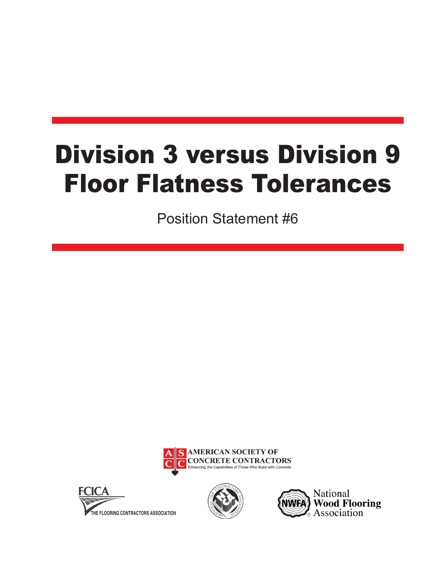## Division 3 versus Division 9 Floor Flatness Tolerances

Position Statement #6







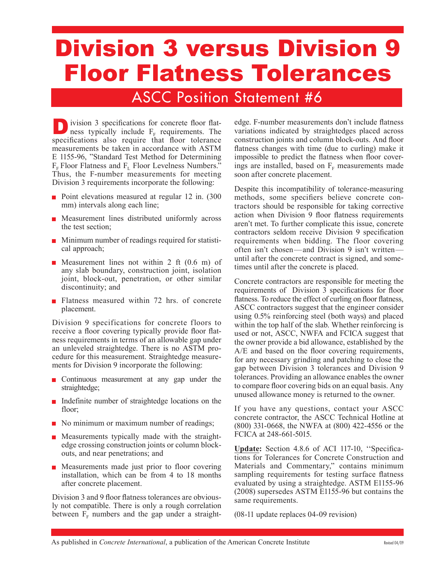## Division 3 versus Division 9 Floor Flatness Tolerances

## ASCC Position Statement #6

**D**ivision 3 specifications for concrete floor flat-<br>ness typically include  $F_F$  requirements. The specifications also require that floor tolerance measurements be taken in accordance with ASTM E 1155-96, "Standard Test Method for Determining  $F<sub>F</sub>$  Floor Flatness and  $F<sub>L</sub>$  Floor Levelness Numbers." Thus, the F-number measurements for meeting Division 3 requirements incorporate the following:

- Point elevations measured at regular 12 in. (300 mm) intervals along each line;
- **Measurement lines distributed uniformly across** the test section;
- **Minimum number of readings required for statisti**cal approach;
- **Measurement** lines not within 2 ft  $(0.6 \text{ m})$  of any slab boundary, construction joint, isolation joint, block-out, penetration, or other similar discontinuity; and
- **Flatness measured within 72 hrs. of concrete** placement.

Division 9 specifications for concrete floors to receive a floor covering typically provide floor flatness requirements in terms of an allowable gap under an unleveled straightedge. There is no ASTM procedure for this measurement. Straightedge measurements for Division 9 incorporate the following:

- Continuous measurement at any gap under the straightedge;
- **Indefinite number of straightedge locations on the** floor;
- No minimum or maximum number of readings;
- **Measurements typically made with the straight**edge crossing construction joints or column blockouts, and near penetrations; and
- **Measurements made just prior to floor covering** installation, which can be from 4 to 18 months after concrete placement.

Division 3 and 9 floor flatness tolerances are obviously not compatible. There is only a rough correlation between  $F_F$  numbers and the gap under a straightedge. F-number measurements don't include flatness variations indicated by straightedges placed across construction joints and column block-outs. And floor flatness changes with time (due to curling) make it impossible to predict the flatness when floor coverings are installed, based on  $F_F$  measurements made soon after concrete placement.

Despite this incompatibility of tolerance-measuring methods, some specifiers believe concrete contractors should be responsible for taking corrective action when Division 9 floor flatness requirements aren't met. To further complicate this issue, concrete contractors seldom receive Division 9 specification requirements when bidding. The floor covering often isn't chosen—and Division 9 isn't written until after the concrete contract is signed, and sometimes until after the concrete is placed.

Concrete contractors are responsible for meeting the requirements of Division 3 specifications for floor flatness. To reduce the effect of curling on floor flatness, ASCC contractors suggest that the engineer consider using 0.5% reinforcing steel (both ways) and placed within the top half of the slab. Whether reinforcing is used or not, ASCC, NWFA and FCICA suggest that the owner provide a bid allowance, established by the A/E and based on the floor covering requirements, for any necessary grinding and patching to close the gap between Division 3 tolerances and Division 9 tolerances. Providing an allowance enables the owner to compare floor covering bids on an equal basis. Any unused allowance money is returned to the owner.

If you have any questions, contact your ASCC concrete contractor, the ASCC Technical Hotline at (800) 331-0668, the NWFA at (800) 422-4556 or the FCICA at 248-661-5015.

**Update:** Section 4.8.6 of ACI 117-10, ''Specifications for Tolerances for Concrete Construction and Materials and Commentary," contains minimum sampling requirements for testing surface flatness evaluated by using a straightedge. ASTM E1155-96 (2008) supersedes ASTM E1155-96 but contains the same requirements.

(08-11 update replaces 04-09 revision)